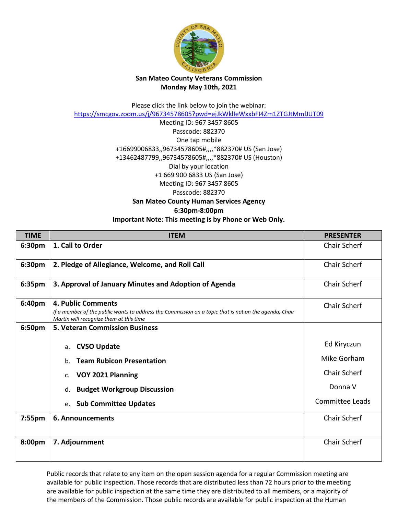

## **San Mateo County Veterans Commission Monday May 10th, 2021**

Please click the link below to join the webinar: <https://smcgov.zoom.us/j/96734578605?pwd=ejJkWklIeWxxbFI4Zm1ZTGJtMmlJUT09>

> Meeting ID: 967 3457 8605 Passcode: 882370 One tap mobile +16699006833,,96734578605#,,,,\*882370# US (San Jose) +13462487799,,96734578605#,,,,\*882370# US (Houston) Dial by your location +1 669 900 6833 US (San Jose) Meeting ID: 967 3457 8605 Passcode: 882370 **San Mateo County Human Services Agency**

**6:30pm-8:00pm**

## **Important Note: This meeting is by Phone or Web Only.**

| <b>TIME</b> | <b>ITEM</b>                                                                                                                                                            | <b>PRESENTER</b>       |
|-------------|------------------------------------------------------------------------------------------------------------------------------------------------------------------------|------------------------|
| 6:30pm      | 1. Call to Order                                                                                                                                                       | <b>Chair Scherf</b>    |
| 6:30pm      | 2. Pledge of Allegiance, Welcome, and Roll Call                                                                                                                        | Chair Scherf           |
| 6:35pm      | 3. Approval of January Minutes and Adoption of Agenda                                                                                                                  | Chair Scherf           |
| 6:40pm      | 4. Public Comments<br>If a member of the public wants to address the Commission on a topic that is not on the agenda, Chair<br>Martin will recognize them at this time | Chair Scherf           |
| 6:50pm      | <b>5. Veteran Commission Business</b>                                                                                                                                  |                        |
|             | <b>CVSO Update</b><br>a.                                                                                                                                               | Ed Kiryczun            |
|             | <b>Team Rubicon Presentation</b><br>b.                                                                                                                                 | Mike Gorham            |
|             | VOY 2021 Planning<br>$C_{\star}$                                                                                                                                       | <b>Chair Scherf</b>    |
|             | <b>Budget Workgroup Discussion</b><br>d.                                                                                                                               | Donna V                |
|             | <b>Sub Committee Updates</b><br>e.                                                                                                                                     | <b>Committee Leads</b> |
| 7:55pm      | 6. Announcements                                                                                                                                                       | Chair Scherf           |
| 8:00pm      | 7. Adjournment                                                                                                                                                         | Chair Scherf           |

Public records that relate to any item on the open session agenda for a regular Commission meeting are available for public inspection. Those records that are distributed less than 72 hours prior to the meeting are available for public inspection at the same time they are distributed to all members, or a majority of the members of the Commission. Those public records are available for public inspection at the Human